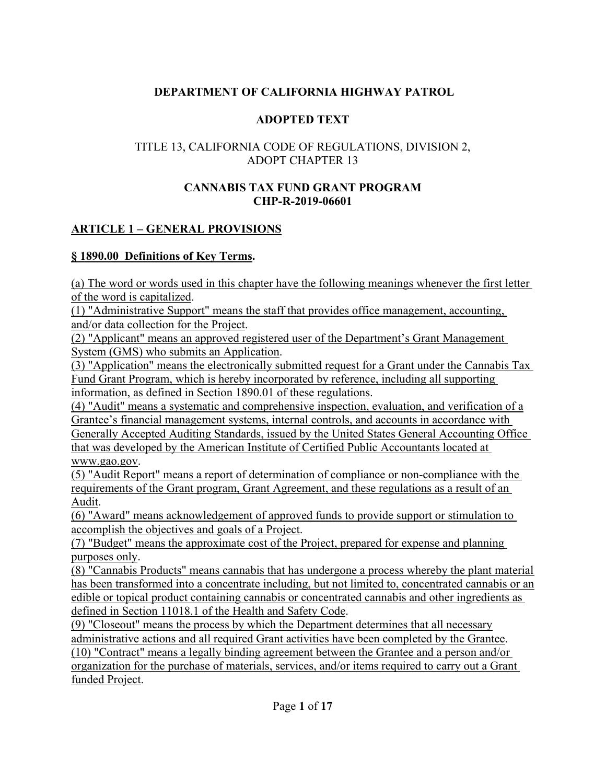#### **DEPARTMENT OF CALIFORNIA HIGHWAY PATROL**

#### **ADOPTED TEXT**

#### TITLE 13, CALIFORNIA CODE OF REGULATIONS, DIVISION 2, ADOPT CHAPTER 13

#### **CANNABIS TAX FUND GRANT PROGRAM CHP-R-2019-06601**

#### **ARTICLE 1 – GENERAL PROVISIONS**

#### **§ 1890.00 Definitions of Key Terms.**

(a) The word or words used in this chapter have the following meanings whenever the first letter of the word is capitalized.

(1) "Administrative Support" means the staff that provides office management, accounting, and/or data collection for the Project.

(2) "Applicant" means an approved registered user of the Department's Grant Management System (GMS) who submits an Application.

(3) "Application" means the electronically submitted request for a Grant under the Cannabis Tax Fund Grant Program, which is hereby incorporated by reference, including all supporting information, as defined in Section 1890.01 of these regulations.

(4) "Audit" means a systematic and comprehensive inspection, evaluation, and verification of a Grantee's financial management systems, internal controls, and accounts in accordance with Generally Accepted Auditing Standards, issued by the United States General Accounting Office that was developed by the American Institute of Certified Public Accountants located at www.gao.gov.

(5) "Audit Report" means a report of determination of compliance or non-compliance with the requirements of the Grant program, Grant Agreement, and these regulations as a result of an Audit.

(6) "Award" means acknowledgement of approved funds to provide support or stimulation to accomplish the objectives and goals of a Project.

(7) "Budget" means the approximate cost of the Project, prepared for expense and planning purposes only.

(8) "Cannabis Products" means cannabis that has undergone a process whereby the plant material has been transformed into a concentrate including, but not limited to, concentrated cannabis or an edible or topical product containing cannabis or concentrated cannabis and other ingredients as defined in Section 11018.1 of the Health and Safety Code.

(9) "Closeout" means the process by which the Department determines that all necessary administrative actions and all required Grant activities have been completed by the Grantee. (10) "Contract" means a legally binding agreement between the Grantee and a person and/or organization for the purchase of materials, services, and/or items required to carry out a Grant funded Project.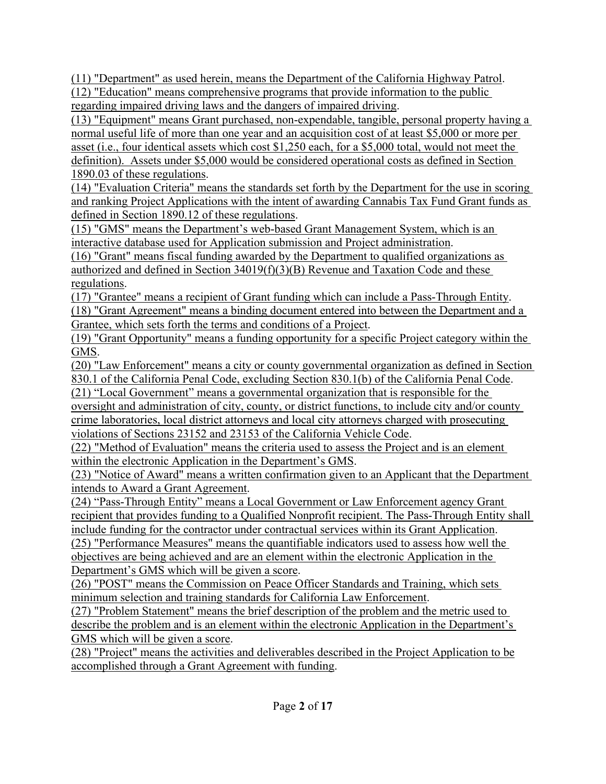(11) "Department" as used herein, means the Department of the California Highway Patrol.

(12) "Education" means comprehensive programs that provide information to the public regarding impaired driving laws and the dangers of impaired driving.

(13) "Equipment" means Grant purchased, non-expendable, tangible, personal property having a normal useful life of more than one year and an acquisition cost of at least \$5,000 or more per asset (i.e., four identical assets which cost \$1,250 each, for a \$5,000 total, would not meet the definition). Assets under \$5,000 would be considered operational costs as defined in Section 1890.03 of these regulations.

(14) "Evaluation Criteria" means the standards set forth by the Department for the use in scoring and ranking Project Applications with the intent of awarding Cannabis Tax Fund Grant funds as defined in Section 1890.12 of these regulations.

(15) "GMS" means the Department's web-based Grant Management System, which is an interactive database used for Application submission and Project administration.

(16) "Grant" means fiscal funding awarded by the Department to qualified organizations as authorized and defined in Section  $34019(f)(3)(B)$  Revenue and Taxation Code and these regulations.

(17) "Grantee" means a recipient of Grant funding which can include a Pass-Through Entity. (18) "Grant Agreement" means a binding document entered into between the Department and a Grantee, which sets forth the terms and conditions of a Project.

(19) "Grant Opportunity" means a funding opportunity for a specific Project category within the GMS.

(20) "Law Enforcement" means a city or county governmental organization as defined in Section 830.1 of the California Penal Code, excluding Section 830.1(b) of the California Penal Code.

(21) "Local Government" means a governmental organization that is responsible for the

oversight and administration of city, county, or district functions, to include city and/or county crime laboratories, local district attorneys and local city attorneys charged with prosecuting violations of Sections 23152 and 23153 of the California Vehicle Code.

(22) "Method of Evaluation" means the criteria used to assess the Project and is an element within the electronic Application in the Department's GMS.

(23) "Notice of Award" means a written confirmation given to an Applicant that the Department intends to Award a Grant Agreement.

(24) "Pass-Through Entity" means a Local Government or Law Enforcement agency Grant recipient that provides funding to a Qualified Nonprofit recipient. The Pass-Through Entity shall include funding for the contractor under contractual services within its Grant Application.

(25) "Performance Measures" means the quantifiable indicators used to assess how well the objectives are being achieved and are an element within the electronic Application in the Department's GMS which will be given a score.

(26) "POST" means the Commission on Peace Officer Standards and Training, which sets minimum selection and training standards for California Law Enforcement.

(27) "Problem Statement" means the brief description of the problem and the metric used to describe the problem and is an element within the electronic Application in the Department's GMS which will be given a score.

(28) "Project" means the activities and deliverables described in the Project Application to be accomplished through a Grant Agreement with funding.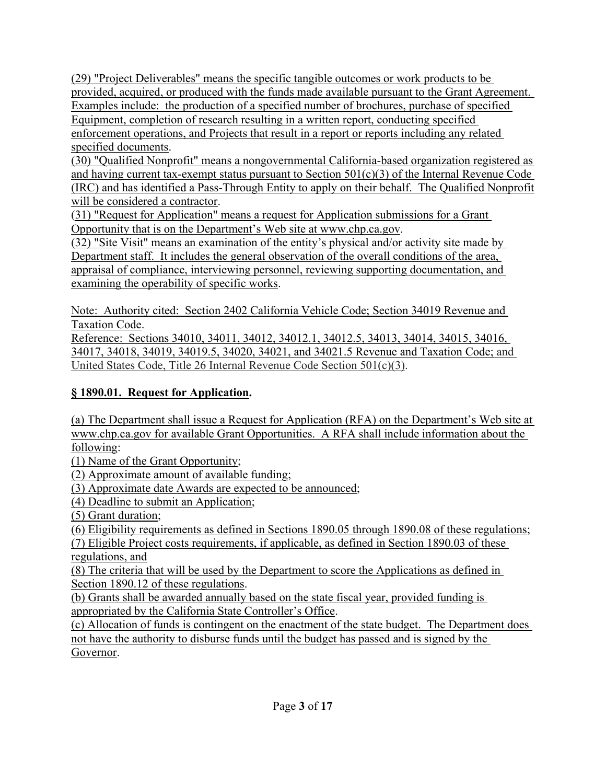(29) "Project Deliverables" means the specific tangible outcomes or work products to be provided, acquired, or produced with the funds made available pursuant to the Grant Agreement. Examples include: the production of a specified number of brochures, purchase of specified Equipment, completion of research resulting in a written report, conducting specified enforcement operations, and Projects that result in a report or reports including any related specified documents.

(30) "Qualified Nonprofit" means a nongovernmental California-based organization registered as and having current tax-exempt status pursuant to Section 501(c)(3) of the Internal Revenue Code (IRC) and has identified a Pass-Through Entity to apply on their behalf. The Qualified Nonprofit will be considered a contractor.

(31) "Request for Application" means a request for Application submissions for a Grant Opportunity that is on the Department's Web site at www.chp.ca.gov.

(32) "Site Visit" means an examination of the entity's physical and/or activity site made by Department staff. It includes the general observation of the overall conditions of the area, appraisal of compliance, interviewing personnel, reviewing supporting documentation, and examining the operability of specific works.

Note: Authority cited: Section 2402 California Vehicle Code; Section 34019 Revenue and Taxation Code.

Reference: Sections 34010, 34011, 34012, 34012.1, 34012.5, 34013, 34014, 34015, 34016, 34017, 34018, 34019, 34019.5, 34020, 34021, and 34021.5 Revenue and Taxation Code; and United States Code, Title 26 Internal Revenue Code Section 501(c)(3).

### **§ 1890.01. Request for Application.**

(a) The Department shall issue a Request for Application (RFA) on the Department's Web site at [www.chp.ca.gov](http://www.chp.ca.gov/) for available Grant Opportunities. A RFA shall include information about the following:

(1) Name of the Grant Opportunity;

(2) Approximate amount of available funding;

(3) Approximate date Awards are expected to be announced;

(4) Deadline to submit an Application;

(5) Grant duration;

(6) Eligibility requirements as defined in Sections 1890.05 through 1890.08 of these regulations;

(7) Eligible Project costs requirements, if applicable, as defined in Section 1890.03 of these regulations, and

(8) The criteria that will be used by the Department to score the Applications as defined in Section 1890.12 of these regulations.

(b) Grants shall be awarded annually based on the state fiscal year, provided funding is appropriated by the California State Controller's Office.

(c) Allocation of funds is contingent on the enactment of the state budget. The Department does not have the authority to disburse funds until the budget has passed and is signed by the Governor.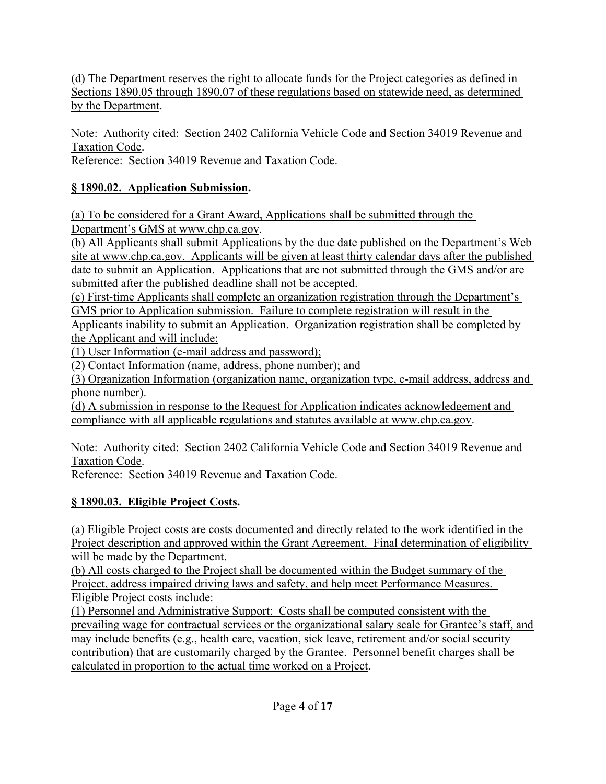(d) The Department reserves the right to allocate funds for the Project categories as defined in Sections 1890.05 through 1890.07 of these regulations based on statewide need, as determined by the Department.

Note: Authority cited: Section 2402 California Vehicle Code and Section 34019 Revenue and Taxation Code.

Reference: Section 34019 Revenue and Taxation Code.

### **§ 1890.02. Application Submission.**

(a) To be considered for a Grant Award, Applications shall be submitted through the Department's GMS at www.chp.ca.gov.

(b) All Applicants shall submit Applications by the due date published on the Department's Web site at www.chp.ca.gov. Applicants will be given at least thirty calendar days after the published date to submit an Application. Applications that are not submitted through the GMS and/or are submitted after the published deadline shall not be accepted.

(c) First-time Applicants shall complete an organization registration through the Department's GMS prior to Application submission. Failure to complete registration will result in the

Applicants inability to submit an Application. Organization registration shall be completed by the Applicant and will include:

(1) User Information (e-mail address and password);

(2) Contact Information (name, address, phone number); and

(3) Organization Information (organization name, organization type, e-mail address, address and phone number).

(d) A submission in response to the Request for Application indicates acknowledgement and compliance with all applicable regulations and statutes available at [www.chp.ca.gov.](http://www.chp.ca.gov/)

Note: Authority cited: Section 2402 California Vehicle Code and Section 34019 Revenue and Taxation Code.

Reference: Section 34019 Revenue and Taxation Code.

### **§ 1890.03. Eligible Project Costs.**

(a) Eligible Project costs are costs documented and directly related to the work identified in the Project description and approved within the Grant Agreement. Final determination of eligibility will be made by the Department.

(b) All costs charged to the Project shall be documented within the Budget summary of the Project, address impaired driving laws and safety, and help meet Performance Measures. Eligible Project costs include:

(1) Personnel and Administrative Support: Costs shall be computed consistent with the prevailing wage for contractual services or the organizational salary scale for Grantee's staff, and may include benefits (e.g., health care, vacation, sick leave, retirement and/or social security contribution) that are customarily charged by the Grantee. Personnel benefit charges shall be calculated in proportion to the actual time worked on a Project.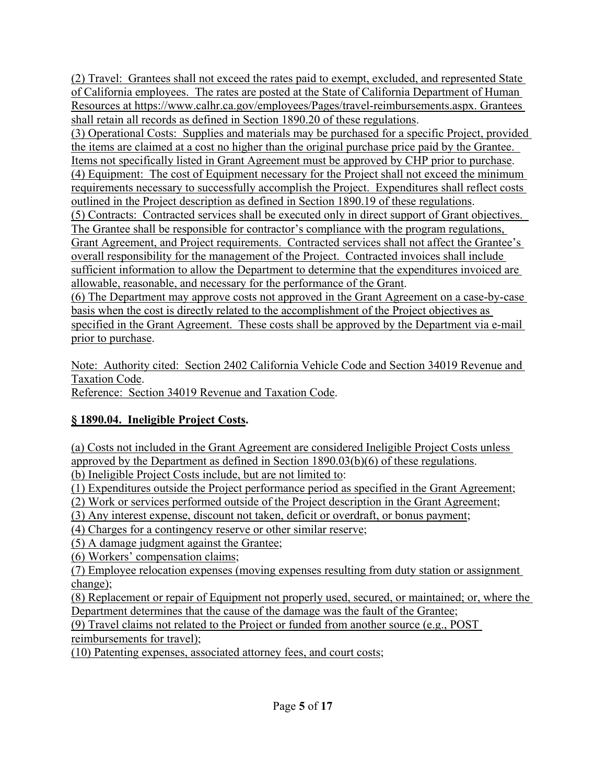(2) Travel: Grantees shall not exceed the rates paid to exempt, excluded, and represented State of California employees. The rates are posted at the State of California Department of Human Resources at [https://www.calhr.ca.gov/employees/Pages/travel-reimbursements.aspx.](https://www.calhr.ca.gov/employees/Pages/travel-reimbursements.aspx) Grantees shall retain all records as defined in Section 1890.20 of these regulations.

(3) Operational Costs: Supplies and materials may be purchased for a specific Project, provided the items are claimed at a cost no higher than the original purchase price paid by the Grantee. Items not specifically listed in Grant Agreement must be approved by CHP prior to purchase. (4) Equipment: The cost of Equipment necessary for the Project shall not exceed the minimum requirements necessary to successfully accomplish the Project. Expenditures shall reflect costs outlined in the Project description as defined in Section 1890.19 of these regulations. (5) Contracts: Contracted services shall be executed only in direct support of Grant objectives. The Grantee shall be responsible for contractor's compliance with the program regulations, Grant Agreement, and Project requirements. Contracted services shall not affect the Grantee's overall responsibility for the management of the Project. Contracted invoices shall include sufficient information to allow the Department to determine that the expenditures invoiced are allowable, reasonable, and necessary for the performance of the Grant.

(6) The Department may approve costs not approved in the Grant Agreement on a case-by-case basis when the cost is directly related to the accomplishment of the Project objectives as specified in the Grant Agreement. These costs shall be approved by the Department via e-mail prior to purchase.

Note: Authority cited: Section 2402 California Vehicle Code and Section 34019 Revenue and Taxation Code.

Reference: Section 34019 Revenue and Taxation Code.

### **§ 1890.04. Ineligible Project Costs.**

(a) Costs not included in the Grant Agreement are considered Ineligible Project Costs unless approved by the Department as defined in Section 1890.03(b)(6) of these regulations. (b) Ineligible Project Costs include, but are not limited to:

(1) Expenditures outside the Project performance period as specified in the Grant Agreement;

(2) Work or services performed outside of the Project description in the Grant Agreement;

(3) Any interest expense, discount not taken, deficit or overdraft, or bonus payment;

(4) Charges for a contingency reserve or other similar reserve;

(5) A damage judgment against the Grantee;

(6) Workers' compensation claims;

(7) Employee relocation expenses (moving expenses resulting from duty station or assignment change);

(8) Replacement or repair of Equipment not properly used, secured, or maintained; or, where the Department determines that the cause of the damage was the fault of the Grantee;

(9) Travel claims not related to the Project or funded from another source (e.g., POST reimbursements for travel);

(10) Patenting expenses, associated attorney fees, and court costs;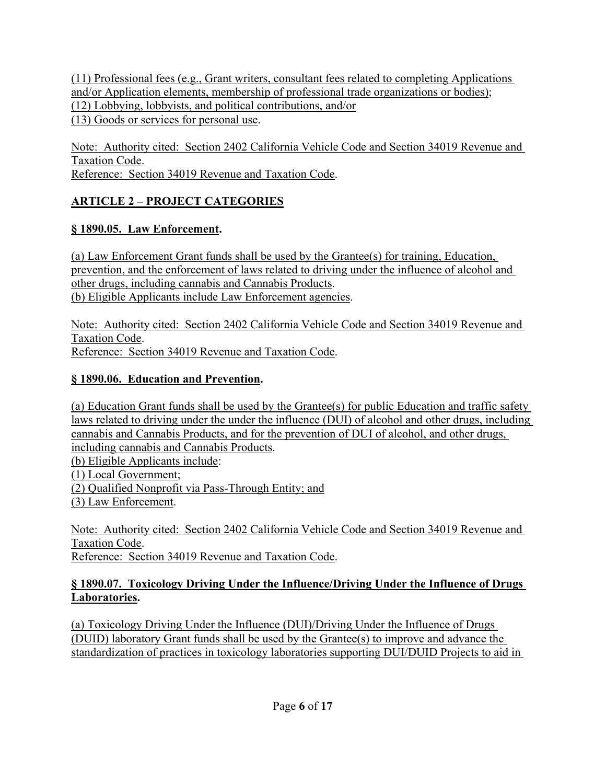(11) Professional fees (e.g., Grant writers, consultant fees related to completing Applications and/or Application elements, membership of professional trade organizations or bodies); (12) Lobbying, lobbyists, and political contributions, and/or (13) Goods or services for personal use.

Note: Authority cited: Section 2402 California Vehicle Code and Section 34019 Revenue and Taxation Code. Reference: Section 34019 Revenue and Taxation Code.

## **ARTICLE 2 – PROJECT CATEGORIES**

### **§ 1890.05. Law Enforcement.**

(a) Law Enforcement Grant funds shall be used by the Grantee(s) for training, Education, prevention, and the enforcement of laws related to driving under the influence of alcohol and other drugs, including cannabis and Cannabis Products. (b) Eligible Applicants include Law Enforcement agencies.

Note: Authority cited: Section 2402 California Vehicle Code and Section 34019 Revenue and Taxation Code. Reference: Section 34019 Revenue and Taxation Code.

### **§ 1890.06. Education and Prevention.**

(a) Education Grant funds shall be used by the Grantee(s) for public Education and traffic safety laws related to driving under the under the influence (DUI) of alcohol and other drugs, including cannabis and Cannabis Products, and for the prevention of DUI of alcohol, and other drugs, including cannabis and Cannabis Products.

(b) Eligible Applicants include:

(1) Local Government;

(2) Qualified Nonprofit via Pass-Through Entity; and

(3) Law Enforcement.

Note: Authority cited: Section 2402 California Vehicle Code and Section 34019 Revenue and Taxation Code. Reference: Section 34019 Revenue and Taxation Code.

#### **§ 1890.07. Toxicology Driving Under the Influence/Driving Under the Influence of Drugs Laboratories.**

(a) Toxicology Driving Under the Influence (DUI)/Driving Under the Influence of Drugs (DUID) laboratory Grant funds shall be used by the Grantee(s) to improve and advance the standardization of practices in toxicology laboratories supporting DUI/DUID Projects to aid in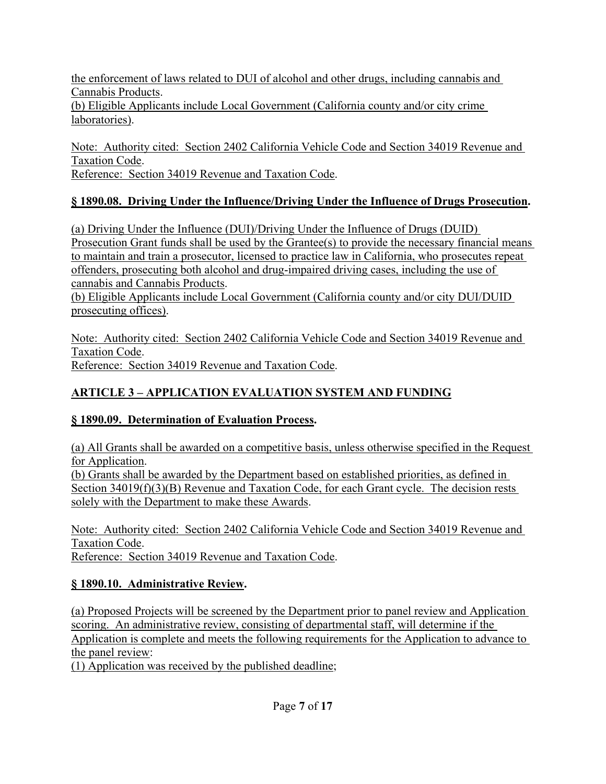the enforcement of laws related to DUI of alcohol and other drugs, including cannabis and Cannabis Products. (b) Eligible Applicants include Local Government (California county and/or city crime laboratories).

Note: Authority cited: Section 2402 California Vehicle Code and Section 34019 Revenue and Taxation Code. Reference: Section 34019 Revenue and Taxation Code.

#### **§ 1890.08. Driving Under the Influence/Driving Under the Influence of Drugs Prosecution.**

(a) Driving Under the Influence (DUI)/Driving Under the Influence of Drugs (DUID) Prosecution Grant funds shall be used by the Grantee(s) to provide the necessary financial means to maintain and train a prosecutor, licensed to practice law in California, who prosecutes repeat offenders, prosecuting both alcohol and drug-impaired driving cases, including the use of cannabis and Cannabis Products.

(b) Eligible Applicants include Local Government (California county and/or city DUI/DUID prosecuting offices).

Note: Authority cited: Section 2402 California Vehicle Code and Section 34019 Revenue and Taxation Code. Reference: Section 34019 Revenue and Taxation Code.

### **ARTICLE 3 – APPLICATION EVALUATION SYSTEM AND FUNDING**

#### **§ 1890.09. Determination of Evaluation Process.**

(a) All Grants shall be awarded on a competitive basis, unless otherwise specified in the Request for Application.

(b) Grants shall be awarded by the Department based on established priorities, as defined in Section 34019(f)(3)(B) Revenue and Taxation Code, for each Grant cycle. The decision rests solely with the Department to make these Awards.

Note: Authority cited: Section 2402 California Vehicle Code and Section 34019 Revenue and Taxation Code. Reference: Section 34019 Revenue and Taxation Code.

# **§ 1890.10. Administrative Review.**

(a) Proposed Projects will be screened by the Department prior to panel review and Application scoring. An administrative review, consisting of departmental staff, will determine if the Application is complete and meets the following requirements for the Application to advance to the panel review:

(1) Application was received by the published deadline;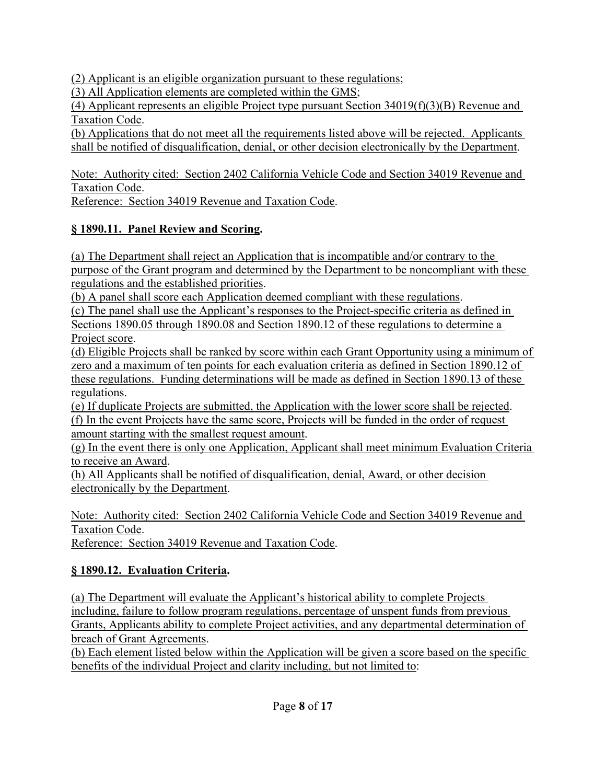(2) Applicant is an eligible organization pursuant to these regulations;

(3) All Application elements are completed within the GMS;

(4) Applicant represents an eligible Project type pursuant Section 34019(f)(3)(B) Revenue and Taxation Code.

(b) Applications that do not meet all the requirements listed above will be rejected. Applicants shall be notified of disqualification, denial, or other decision electronically by the Department.

Note: Authority cited: Section 2402 California Vehicle Code and Section 34019 Revenue and Taxation Code.

Reference: Section 34019 Revenue and Taxation Code.

# **§ 1890.11. Panel Review and Scoring.**

(a) The Department shall reject an Application that is incompatible and/or contrary to the purpose of the Grant program and determined by the Department to be noncompliant with these regulations and the established priorities.

(b) A panel shall score each Application deemed compliant with these regulations.

(c) The panel shall use the Applicant's responses to the Project-specific criteria as defined in Sections 1890.05 through 1890.08 and Section 1890.12 of these regulations to determine a Project score.

(d) Eligible Projects shall be ranked by score within each Grant Opportunity using a minimum of zero and a maximum of ten points for each evaluation criteria as defined in Section 1890.12 of these regulations. Funding determinations will be made as defined in Section 1890.13 of these regulations.

(e) If duplicate Projects are submitted, the Application with the lower score shall be rejected. (f) In the event Projects have the same score, Projects will be funded in the order of request amount starting with the smallest request amount.

(g) In the event there is only one Application, Applicant shall meet minimum Evaluation Criteria to receive an Award.

(h) All Applicants shall be notified of disqualification, denial, Award, or other decision electronically by the Department.

Note: Authority cited: Section 2402 California Vehicle Code and Section 34019 Revenue and Taxation Code.

Reference: Section 34019 Revenue and Taxation Code.

# **§ 1890.12. Evaluation Criteria.**

(a) The Department will evaluate the Applicant's historical ability to complete Projects including, failure to follow program regulations, percentage of unspent funds from previous Grants, Applicants ability to complete Project activities, and any departmental determination of breach of Grant Agreements.

(b) Each element listed below within the Application will be given a score based on the specific benefits of the individual Project and clarity including, but not limited to: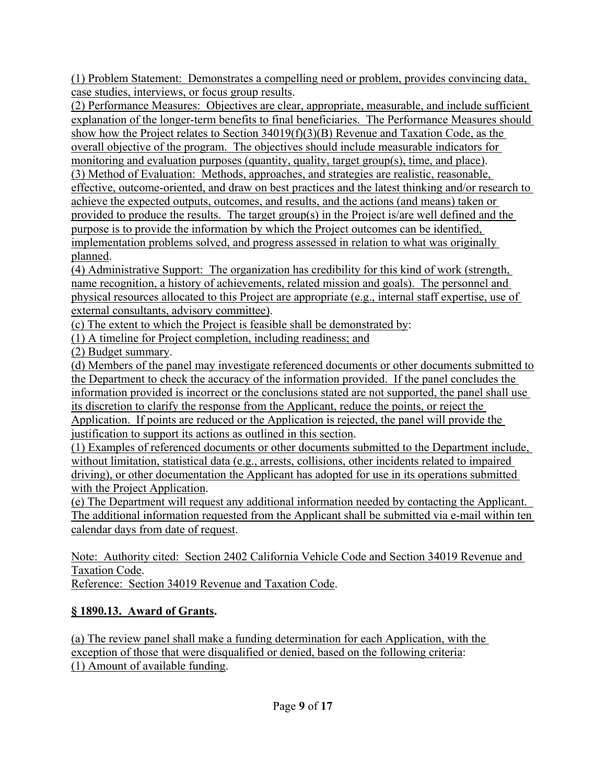(1) Problem Statement: Demonstrates a compelling need or problem, provides convincing data, case studies, interviews, or focus group results.

(2) Performance Measures: Objectives are clear, appropriate, measurable, and include sufficient explanation of the longer-term benefits to final beneficiaries. The Performance Measures should show how the Project relates to Section 34019(f)(3)(B) Revenue and Taxation Code, as the overall objective of the program. The objectives should include measurable indicators for monitoring and evaluation purposes (quantity, quality, target group(s), time, and place). (3) Method of Evaluation: Methods, approaches, and strategies are realistic, reasonable, effective, outcome-oriented, and draw on best practices and the latest thinking and/or research to achieve the expected outputs, outcomes, and results, and the actions (and means) taken or provided to produce the results. The target group(s) in the Project is/are well defined and the purpose is to provide the information by which the Project outcomes can be identified, implementation problems solved, and progress assessed in relation to what was originally planned.

(4) Administrative Support: The organization has credibility for this kind of work (strength, name recognition, a history of achievements, related mission and goals). The personnel and physical resources allocated to this Project are appropriate (e.g., internal staff expertise, use of external consultants, advisory committee).

(c) The extent to which the Project is feasible shall be demonstrated by:

(1) A timeline for Project completion, including readiness; and

(2) Budget summary.

(d) Members of the panel may investigate referenced documents or other documents submitted to the Department to check the accuracy of the information provided. If the panel concludes the information provided is incorrect or the conclusions stated are not supported, the panel shall use its discretion to clarify the response from the Applicant, reduce the points, or reject the Application. If points are reduced or the Application is rejected, the panel will provide the justification to support its actions as outlined in this section.

(1) Examples of referenced documents or other documents submitted to the Department include, without limitation, statistical data (e.g., arrests, collisions, other incidents related to impaired driving), or other documentation the Applicant has adopted for use in its operations submitted with the Project Application.

(e) The Department will request any additional information needed by contacting the Applicant. The additional information requested from the Applicant shall be submitted via e-mail within ten calendar days from date of request.

Note: Authority cited: Section 2402 California Vehicle Code and Section 34019 Revenue and Taxation Code.

Reference: Section 34019 Revenue and Taxation Code.

# **§ 1890.13. Award of Grants.**

(a) The review panel shall make a funding determination for each Application, with the exception of those that were disqualified or denied, based on the following criteria: (1) Amount of available funding.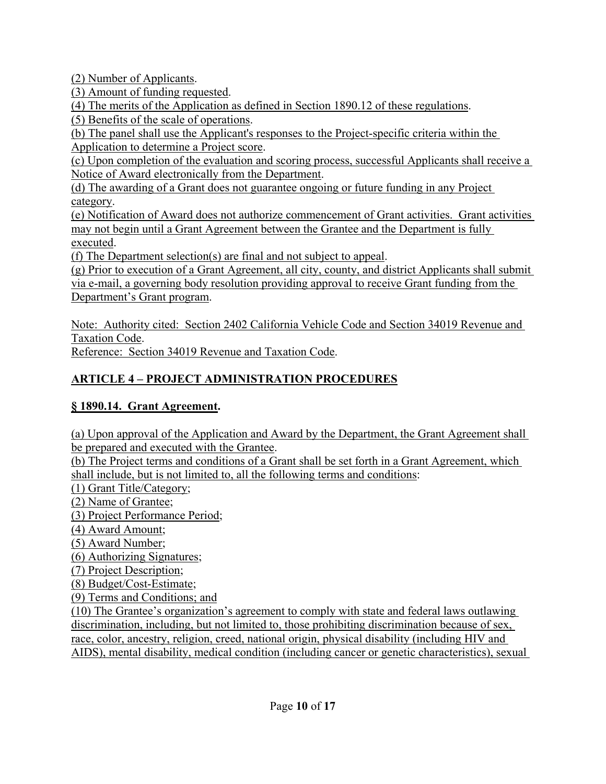(2) Number of Applicants.

(3) Amount of funding requested.

(4) The merits of the Application as defined in Section 1890.12 of these regulations.

(5) Benefits of the scale of operations.

(b) The panel shall use the Applicant's responses to the Project-specific criteria within the Application to determine a Project score.

(c) Upon completion of the evaluation and scoring process, successful Applicants shall receive a Notice of Award electronically from the Department.

(d) The awarding of a Grant does not guarantee ongoing or future funding in any Project category.

(e) Notification of Award does not authorize commencement of Grant activities. Grant activities may not begin until a Grant Agreement between the Grantee and the Department is fully executed.

(f) The Department selection(s) are final and not subject to appeal.

(g) Prior to execution of a Grant Agreement, all city, county, and district Applicants shall submit via e-mail, a governing body resolution providing approval to receive Grant funding from the Department's Grant program.

Note: Authority cited: Section 2402 California Vehicle Code and Section 34019 Revenue and Taxation Code.

Reference: Section 34019 Revenue and Taxation Code.

# **ARTICLE 4 – PROJECT ADMINISTRATION PROCEDURES**

# **§ 1890.14. Grant Agreement.**

(a) Upon approval of the Application and Award by the Department, the Grant Agreement shall be prepared and executed with the Grantee.

(b) The Project terms and conditions of a Grant shall be set forth in a Grant Agreement, which shall include, but is not limited to, all the following terms and conditions:

(1) Grant Title/Category;

(2) Name of Grantee;

(3) Project Performance Period;

(4) Award Amount;

(5) Award Number;

(6) Authorizing Signatures;

(7) Project Description;

(8) Budget/Cost-Estimate;

(9) Terms and Conditions; and

(10) The Grantee's organization's agreement to comply with state and federal laws outlawing discrimination, including, but not limited to, those prohibiting discrimination because of sex, race, color, ancestry, religion, creed, national origin, physical disability (including HIV and AIDS), mental disability, medical condition (including cancer or genetic characteristics), sexual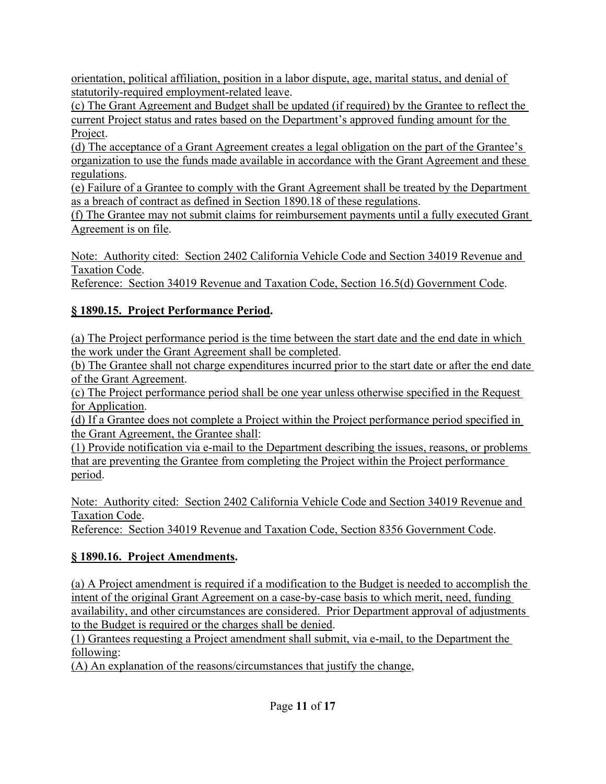orientation, political affiliation, position in a labor dispute, age, marital status, and denial of statutorily-required employment-related leave.

(c) The Grant Agreement and Budget shall be updated (if required) by the Grantee to reflect the current Project status and rates based on the Department's approved funding amount for the Project.

(d) The acceptance of a Grant Agreement creates a legal obligation on the part of the Grantee's organization to use the funds made available in accordance with the Grant Agreement and these regulations.

(e) Failure of a Grantee to comply with the Grant Agreement shall be treated by the Department as a breach of contract as defined in Section 1890.18 of these regulations.

(f) The Grantee may not submit claims for reimbursement payments until a fully executed Grant Agreement is on file.

Note: Authority cited: Section 2402 California Vehicle Code and Section 34019 Revenue and Taxation Code.

Reference: Section 34019 Revenue and Taxation Code, Section 16.5(d) Government Code.

## **§ 1890.15. Project Performance Period.**

(a) The Project performance period is the time between the start date and the end date in which the work under the Grant Agreement shall be completed.

(b) The Grantee shall not charge expenditures incurred prior to the start date or after the end date of the Grant Agreement.

(c) The Project performance period shall be one year unless otherwise specified in the Request for Application.

(d) If a Grantee does not complete a Project within the Project performance period specified in the Grant Agreement, the Grantee shall:

(1) Provide notification via e-mail to the Department describing the issues, reasons, or problems that are preventing the Grantee from completing the Project within the Project performance period.

Note: Authority cited: Section 2402 California Vehicle Code and Section 34019 Revenue and Taxation Code.

Reference: Section 34019 Revenue and Taxation Code, Section 8356 Government Code.

# **§ 1890.16. Project Amendments.**

(a) A Project amendment is required if a modification to the Budget is needed to accomplish the intent of the original Grant Agreement on a case-by-case basis to which merit, need, funding availability, and other circumstances are considered. Prior Department approval of adjustments to the Budget is required or the charges shall be denied.

(1) Grantees requesting a Project amendment shall submit, via e-mail, to the Department the following:

(A) An explanation of the reasons/circumstances that justify the change,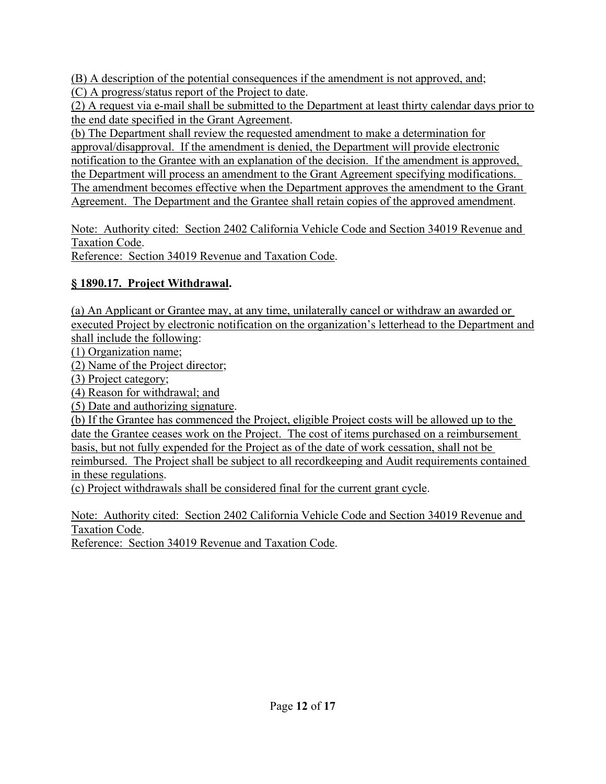(B) A description of the potential consequences if the amendment is not approved, and; (C) A progress/status report of the Project to date.

(2) A request via e-mail shall be submitted to the Department at least thirty calendar days prior to the end date specified in the Grant Agreement.

(b) The Department shall review the requested amendment to make a determination for approval/disapproval. If the amendment is denied, the Department will provide electronic notification to the Grantee with an explanation of the decision. If the amendment is approved, the Department will process an amendment to the Grant Agreement specifying modifications. The amendment becomes effective when the Department approves the amendment to the Grant Agreement. The Department and the Grantee shall retain copies of the approved amendment.

Note: Authority cited: Section 2402 California Vehicle Code and Section 34019 Revenue and Taxation Code. Reference: Section 34019 Revenue and Taxation Code.

### **§ 1890.17. Project Withdrawal.**

(a) An Applicant or Grantee may, at any time, unilaterally cancel or withdraw an awarded or executed Project by electronic notification on the organization's letterhead to the Department and shall include the following:

(1) Organization name;

(2) Name of the Project director;

(3) Project category;

(4) Reason for withdrawal; and

(5) Date and authorizing signature.

(b) If the Grantee has commenced the Project, eligible Project costs will be allowed up to the date the Grantee ceases work on the Project. The cost of items purchased on a reimbursement basis, but not fully expended for the Project as of the date of work cessation, shall not be reimbursed. The Project shall be subject to all recordkeeping and Audit requirements contained in these regulations.

(c) Project withdrawals shall be considered final for the current grant cycle.

Note: Authority cited: Section 2402 California Vehicle Code and Section 34019 Revenue and Taxation Code.

Reference: Section 34019 Revenue and Taxation Code.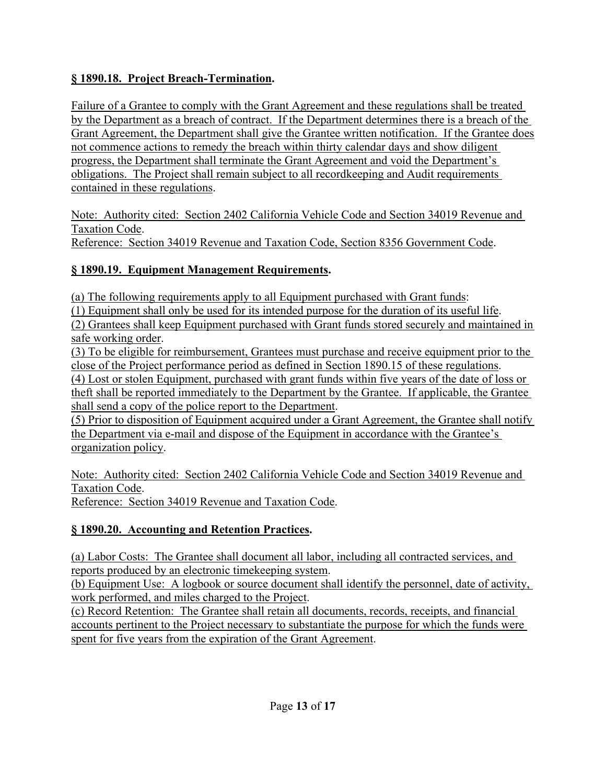### **§ 1890.18. Project Breach-Termination.**

Failure of a Grantee to comply with the Grant Agreement and these regulations shall be treated by the Department as a breach of contract. If the Department determines there is a breach of the Grant Agreement, the Department shall give the Grantee written notification. If the Grantee does not commence actions to remedy the breach within thirty calendar days and show diligent progress, the Department shall terminate the Grant Agreement and void the Department's obligations. The Project shall remain subject to all recordkeeping and Audit requirements contained in these regulations.

Note: Authority cited: Section 2402 California Vehicle Code and Section 34019 Revenue and Taxation Code. Reference: Section 34019 Revenue and Taxation Code, Section 8356 Government Code.

### **§ 1890.19. Equipment Management Requirements.**

(a) The following requirements apply to all Equipment purchased with Grant funds:

(1) Equipment shall only be used for its intended purpose for the duration of its useful life.

(2) Grantees shall keep Equipment purchased with Grant funds stored securely and maintained in safe working order.

(3) To be eligible for reimbursement, Grantees must purchase and receive equipment prior to the close of the Project performance period as defined in Section 1890.15 of these regulations.

(4) Lost or stolen Equipment, purchased with grant funds within five years of the date of loss or theft shall be reported immediately to the Department by the Grantee. If applicable, the Grantee shall send a copy of the police report to the Department.

(5) Prior to disposition of Equipment acquired under a Grant Agreement, the Grantee shall notify the Department via e-mail and dispose of the Equipment in accordance with the Grantee's organization policy.

Note: Authority cited: Section 2402 California Vehicle Code and Section 34019 Revenue and Taxation Code.

Reference: Section 34019 Revenue and Taxation Code.

### **§ 1890.20. Accounting and Retention Practices.**

(a) Labor Costs: The Grantee shall document all labor, including all contracted services, and reports produced by an electronic timekeeping system.

(b) Equipment Use: A logbook or source document shall identify the personnel, date of activity, work performed, and miles charged to the Project.

(c) Record Retention: The Grantee shall retain all documents, records, receipts, and financial accounts pertinent to the Project necessary to substantiate the purpose for which the funds were spent for five years from the expiration of the Grant Agreement.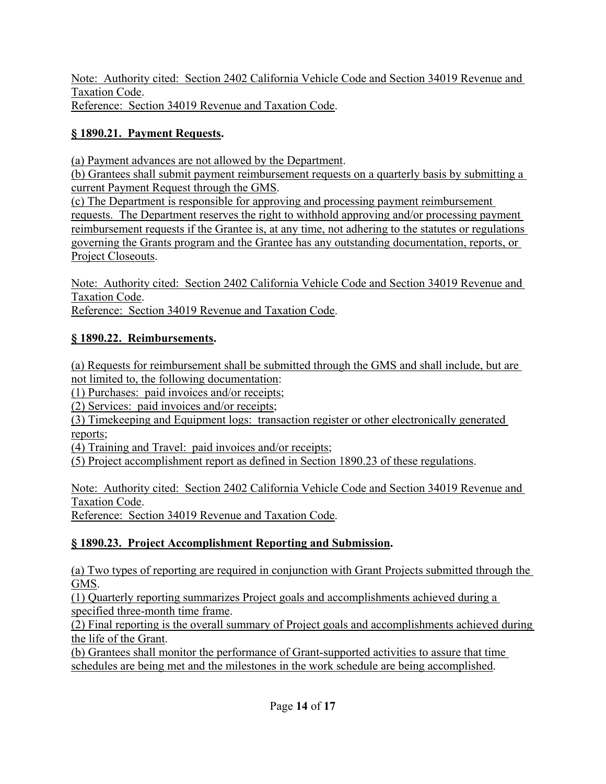Note: Authority cited: Section 2402 California Vehicle Code and Section 34019 Revenue and Taxation Code. Reference: Section 34019 Revenue and Taxation Code.

### **§ 1890.21. Payment Requests.**

(a) Payment advances are not allowed by the Department.

(b) Grantees shall submit payment reimbursement requests on a quarterly basis by submitting a current Payment Request through the GMS.

(c) The Department is responsible for approving and processing payment reimbursement requests. The Department reserves the right to withhold approving and/or processing payment reimbursement requests if the Grantee is, at any time, not adhering to the statutes or regulations governing the Grants program and the Grantee has any outstanding documentation, reports, or Project Closeouts.

Note: Authority cited: Section 2402 California Vehicle Code and Section 34019 Revenue and Taxation Code.

Reference: Section 34019 Revenue and Taxation Code.

### **§ 1890.22. Reimbursements.**

(a) Requests for reimbursement shall be submitted through the GMS and shall include, but are not limited to, the following documentation:

(1) Purchases: paid invoices and/or receipts;

(2) Services: paid invoices and/or receipts;

(3) Timekeeping and Equipment logs: transaction register or other electronically generated reports;

(4) Training and Travel: paid invoices and/or receipts;

(5) Project accomplishment report as defined in Section 1890.23 of these regulations.

Note: Authority cited: Section 2402 California Vehicle Code and Section 34019 Revenue and Taxation Code.

Reference: Section 34019 Revenue and Taxation Code.

# **§ 1890.23. Project Accomplishment Reporting and Submission.**

(a) Two types of reporting are required in conjunction with Grant Projects submitted through the GMS.

(1) Quarterly reporting summarizes Project goals and accomplishments achieved during a specified three-month time frame.

(2) Final reporting is the overall summary of Project goals and accomplishments achieved during the life of the Grant.

(b) Grantees shall monitor the performance of Grant-supported activities to assure that time schedules are being met and the milestones in the work schedule are being accomplished.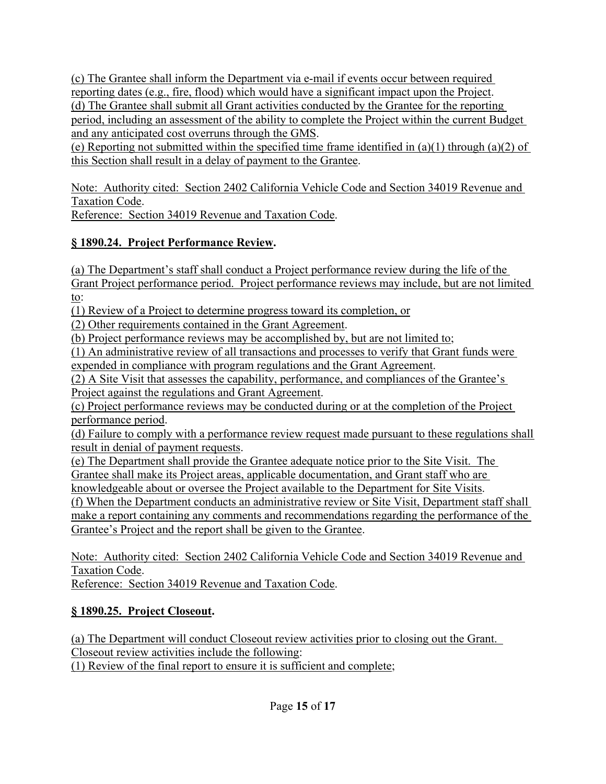(c) The Grantee shall inform the Department via e-mail if events occur between required reporting dates (e.g., fire, flood) which would have a significant impact upon the Project. (d) The Grantee shall submit all Grant activities conducted by the Grantee for the reporting period, including an assessment of the ability to complete the Project within the current Budget and any anticipated cost overruns through the GMS.

(e) Reporting not submitted within the specified time frame identified in  $(a)(1)$  through  $(a)(2)$  of this Section shall result in a delay of payment to the Grantee.

Note: Authority cited: Section 2402 California Vehicle Code and Section 34019 Revenue and Taxation Code.

Reference: Section 34019 Revenue and Taxation Code.

## **§ 1890.24. Project Performance Review.**

(a) The Department's staff shall conduct a Project performance review during the life of the Grant Project performance period. Project performance reviews may include, but are not limited to:

(1) Review of a Project to determine progress toward its completion, or

(2) Other requirements contained in the Grant Agreement.

(b) Project performance reviews may be accomplished by, but are not limited to;

(1) An administrative review of all transactions and processes to verify that Grant funds were expended in compliance with program regulations and the Grant Agreement.

(2) A Site Visit that assesses the capability, performance, and compliances of the Grantee's Project against the regulations and Grant Agreement.

(c) Project performance reviews may be conducted during or at the completion of the Project performance period.

(d) Failure to comply with a performance review request made pursuant to these regulations shall result in denial of payment requests.

(e) The Department shall provide the Grantee adequate notice prior to the Site Visit. The Grantee shall make its Project areas, applicable documentation, and Grant staff who are

knowledgeable about or oversee the Project available to the Department for Site Visits.

(f) When the Department conducts an administrative review or Site Visit, Department staff shall make a report containing any comments and recommendations regarding the performance of the Grantee's Project and the report shall be given to the Grantee.

Note: Authority cited: Section 2402 California Vehicle Code and Section 34019 Revenue and Taxation Code.

Reference: Section 34019 Revenue and Taxation Code.

# **§ 1890.25. Project Closeout.**

(a) The Department will conduct Closeout review activities prior to closing out the Grant. Closeout review activities include the following: (1) Review of the final report to ensure it is sufficient and complete;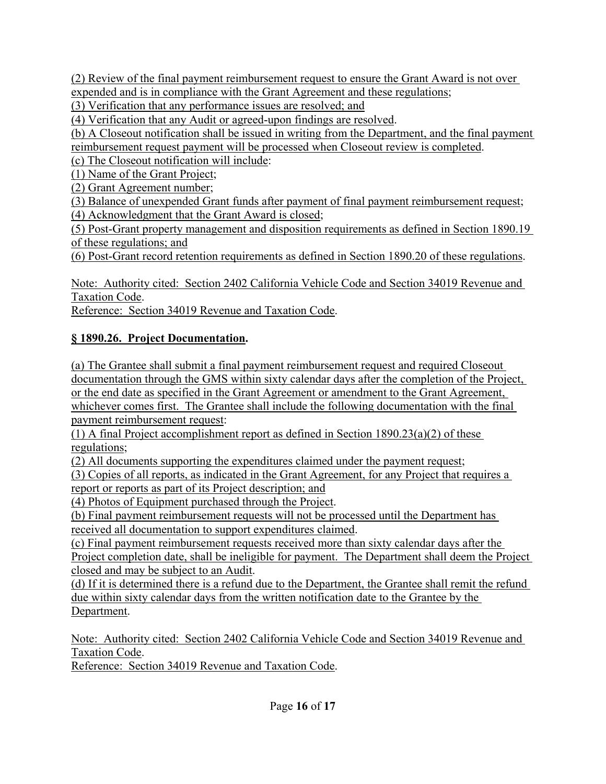(2) Review of the final payment reimbursement request to ensure the Grant Award is not over expended and is in compliance with the Grant Agreement and these regulations;

(3) Verification that any performance issues are resolved; and

(4) Verification that any Audit or agreed-upon findings are resolved.

(b) A Closeout notification shall be issued in writing from the Department, and the final payment reimbursement request payment will be processed when Closeout review is completed.

(c) The Closeout notification will include:

(1) Name of the Grant Project;

(2) Grant Agreement number;

(3) Balance of unexpended Grant funds after payment of final payment reimbursement request; (4) Acknowledgment that the Grant Award is closed;

(5) Post-Grant property management and disposition requirements as defined in Section 1890.19 of these regulations; and

(6) Post-Grant record retention requirements as defined in Section 1890.20 of these regulations.

Note: Authority cited: Section 2402 California Vehicle Code and Section 34019 Revenue and Taxation Code.

Reference: Section 34019 Revenue and Taxation Code.

#### **§ 1890.26. Project Documentation.**

(a) The Grantee shall submit a final payment reimbursement request and required Closeout documentation through the GMS within sixty calendar days after the completion of the Project, or the end date as specified in the Grant Agreement or amendment to the Grant Agreement, whichever comes first. The Grantee shall include the following documentation with the final payment reimbursement request:

(1) A final Project accomplishment report as defined in Section  $1890.23(a)(2)$  of these regulations;

(2) All documents supporting the expenditures claimed under the payment request;

(3) Copies of all reports, as indicated in the Grant Agreement, for any Project that requires a

report or reports as part of its Project description; and

(4) Photos of Equipment purchased through the Project.

(b) Final payment reimbursement requests will not be processed until the Department has received all documentation to support expenditures claimed.

(c) Final payment reimbursement requests received more than sixty calendar days after the Project completion date, shall be ineligible for payment. The Department shall deem the Project closed and may be subject to an Audit.

(d) If it is determined there is a refund due to the Department, the Grantee shall remit the refund due within sixty calendar days from the written notification date to the Grantee by the Department.

Note: Authority cited: Section 2402 California Vehicle Code and Section 34019 Revenue and Taxation Code.

Reference: Section 34019 Revenue and Taxation Code.